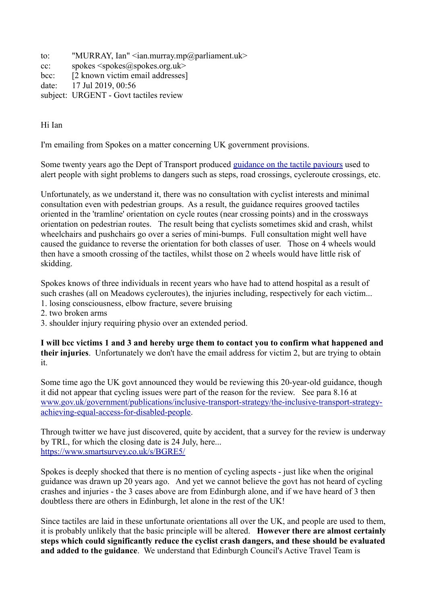to: "MURRAY, Ian" <ian.murray.mp@parliament.uk> cc: spokes  $\langle$ spokes $\langle \omega \rangle$ spokes.org.uk> bcc: [2 known victim email addresses] date: 17 Jul 2019, 00:56 subject: URGENT - Govt tactiles review

Hi Ian

I'm emailing from Spokes on a matter concerning UK government provisions.

Some twenty years ago the Dept of Transport produced [guidance on the tactile paviours](https://assets.publishing.service.gov.uk/government/uploads/system/uploads/attachment_data/file/289245/tactile-paving-surfaces.pdf) used to alert people with sight problems to dangers such as steps, road crossings, cycleroute crossings, etc.

Unfortunately, as we understand it, there was no consultation with cyclist interests and minimal consultation even with pedestrian groups. As a result, the guidance requires grooved tactiles oriented in the 'tramline' orientation on cycle routes (near crossing points) and in the crossways orientation on pedestrian routes. The result being that cyclists sometimes skid and crash, whilst wheelchairs and pushchairs go over a series of mini-bumps. Full consultation might well have caused the guidance to reverse the orientation for both classes of user. Those on 4 wheels would then have a smooth crossing of the tactiles, whilst those on 2 wheels would have little risk of skidding.

Spokes knows of three individuals in recent years who have had to attend hospital as a result of such crashes (all on Meadows cycleroutes), the injuries including, respectively for each victim... 1. losing consciousness, elbow fracture, severe bruising

2. two broken arms

3. shoulder injury requiring physio over an extended period.

**I will bcc victims 1 and 3 and hereby urge them to contact you to confirm what happened and their injuries**. Unfortunately we don't have the email address for victim 2, but are trying to obtain it.

Some time ago the UK govt announced they would be reviewing this 20-year-old guidance, though it did not appear that cycling issues were part of the reason for the review. See para 8.16 at [www.gov.uk/government/publications/inclusive-transport-strategy/the-inclusive-transport-strategy](http://www.gov.uk/government/publications/inclusive-transport-strategy/the-inclusive-transport-strategy-achieving-equal-access-for-disabled-people)[achieving-equal-access-for-disabled-people.](http://www.gov.uk/government/publications/inclusive-transport-strategy/the-inclusive-transport-strategy-achieving-equal-access-for-disabled-people)

Through twitter we have just discovered, quite by accident, that a survey for the review is underway by TRL, for which the closing date is 24 July, here... <https://www.smartsurvey.co.uk/s/BGRE5/>

Spokes is deeply shocked that there is no mention of cycling aspects - just like when the original guidance was drawn up 20 years ago. And yet we cannot believe the govt has not heard of cycling crashes and injuries - the 3 cases above are from Edinburgh alone, and if we have heard of 3 then doubtless there are others in Edinburgh, let alone in the rest of the UK!

Since tactiles are laid in these unfortunate orientations all over the UK, and people are used to them, it is probably unlikely that the basic principle will be altered. **However there are almost certainly steps which could significantly reduce the cyclist crash dangers, and these should be evaluated and added to the guidance**. We understand that Edinburgh Council's Active Travel Team is